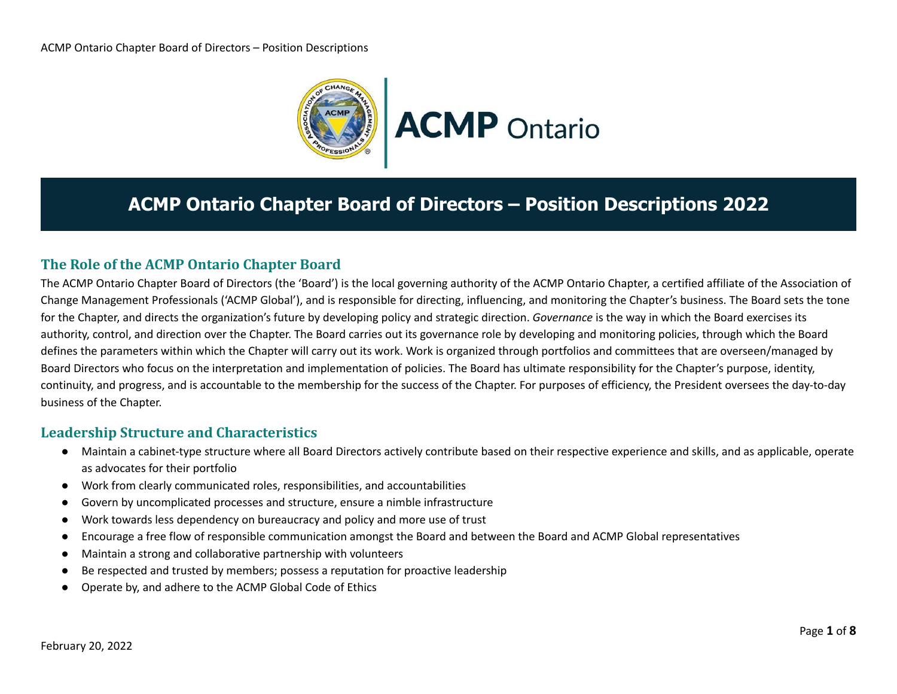

# **ACMP Ontario Chapter Board of Directors – Position Descriptions 2022**

### **The Role of the ACMP Ontario Chapter Board**

The ACMP Ontario Chapter Board of Directors (the 'Board') is the local governing authority of the ACMP Ontario Chapter, a certified affiliate of the Association of Change Management Professionals ('ACMP Global'), and is responsible for directing, influencing, and monitoring the Chapter's business. The Board sets the tone for the Chapter, and directs the organization's future by developing policy and strategic direction. *Governance* is the way in which the Board exercises its authority, control, and direction over the Chapter. The Board carries out its governance role by developing and monitoring policies, through which the Board defines the parameters within which the Chapter will carry out its work. Work is organized through portfolios and committees that are overseen/managed by Board Directors who focus on the interpretation and implementation of policies. The Board has ultimate responsibility for the Chapter's purpose, identity, continuity, and progress, and is accountable to the membership for the success of the Chapter. For purposes of efficiency, the President oversees the day-to-day business of the Chapter.

### **Leadership Structure and Characteristics**

- Maintain a cabinet-type structure where all Board Directors actively contribute based on their respective experience and skills, and as applicable, operate as advocates for their portfolio
- Work from clearly communicated roles, responsibilities, and accountabilities
- Govern by uncomplicated processes and structure, ensure a nimble infrastructure
- Work towards less dependency on bureaucracy and policy and more use of trust
- Encourage a free flow of responsible communication amongst the Board and between the Board and ACMP Global representatives
- Maintain a strong and collaborative partnership with volunteers
- Be respected and trusted by members; possess a reputation for proactive leadership
- Operate by, and adhere to the ACMP Global Code of Ethics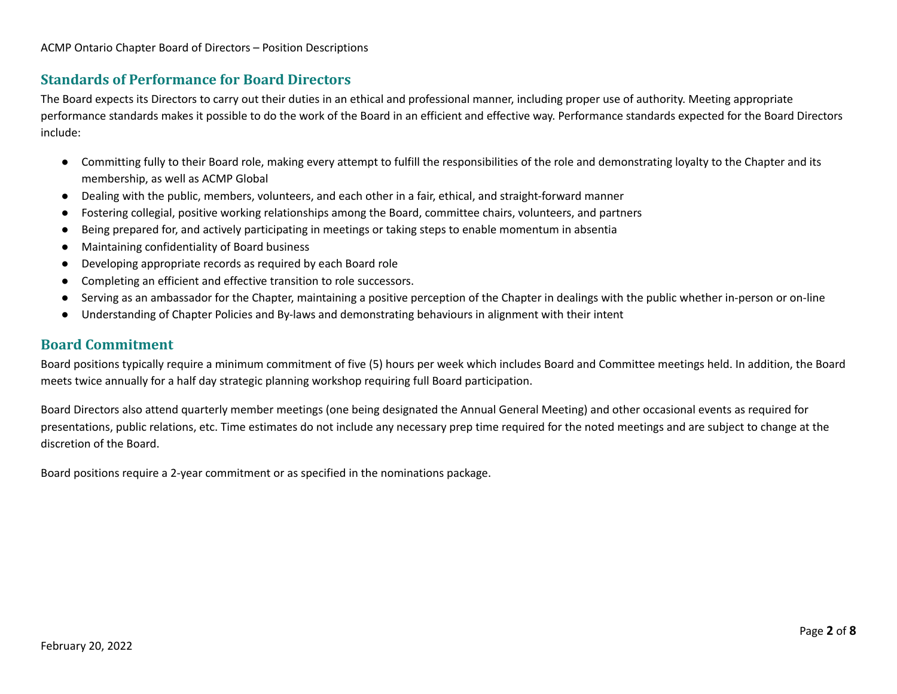### **Standards of Performance for Board Directors**

The Board expects its Directors to carry out their duties in an ethical and professional manner, including proper use of authority. Meeting appropriate performance standards makes it possible to do the work of the Board in an efficient and effective way. Performance standards expected for the Board Directors include:

- Committing fully to their Board role, making every attempt to fulfill the responsibilities of the role and demonstrating loyalty to the Chapter and its membership, as well as ACMP Global
- Dealing with the public, members, volunteers, and each other in a fair, ethical, and straight-forward manner
- Fostering collegial, positive working relationships among the Board, committee chairs, volunteers, and partners
- Being prepared for, and actively participating in meetings or taking steps to enable momentum in absentia
- Maintaining confidentiality of Board business
- Developing appropriate records as required by each Board role
- Completing an efficient and effective transition to role successors.
- Serving as an ambassador for the Chapter, maintaining a positive perception of the Chapter in dealings with the public whether in-person or on-line
- Understanding of Chapter Policies and By-laws and demonstrating behaviours in alignment with their intent

### **Board Commitment**

Board positions typically require a minimum commitment of five (5) hours per week which includes Board and Committee meetings held. In addition, the Board meets twice annually for a half day strategic planning workshop requiring full Board participation.

Board Directors also attend quarterly member meetings (one being designated the Annual General Meeting) and other occasional events as required for presentations, public relations, etc. Time estimates do not include any necessary prep time required for the noted meetings and are subject to change at the discretion of the Board.

Board positions require a 2-year commitment or as specified in the nominations package.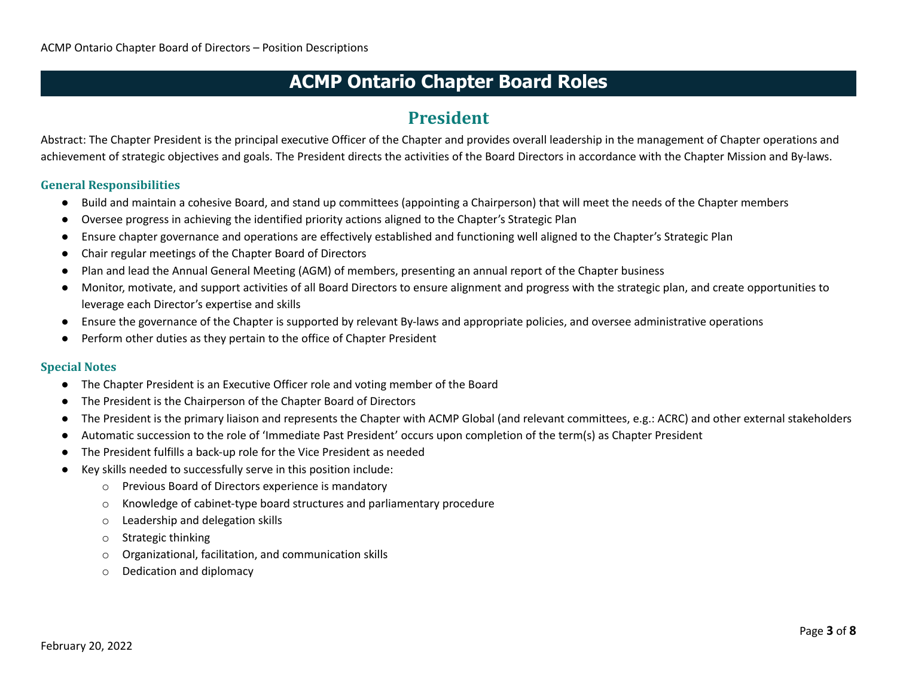### **President**

Abstract: The Chapter President is the principal executive Officer of the Chapter and provides overall leadership in the management of Chapter operations and achievement of strategic objectives and goals. The President directs the activities of the Board Directors in accordance with the Chapter Mission and By-laws.

#### **General Responsibilities**

- Build and maintain a cohesive Board, and stand up committees (appointing a Chairperson) that will meet the needs of the Chapter members
- Oversee progress in achieving the identified priority actions aligned to the Chapter's Strategic Plan
- Ensure chapter governance and operations are effectively established and functioning well aligned to the Chapter's Strategic Plan
- Chair regular meetings of the Chapter Board of Directors
- Plan and lead the Annual General Meeting (AGM) of members, presenting an annual report of the Chapter business
- Monitor, motivate, and support activities of all Board Directors to ensure alignment and progress with the strategic plan, and create opportunities to leverage each Director's expertise and skills
- Ensure the governance of the Chapter is supported by relevant By-laws and appropriate policies, and oversee administrative operations
- Perform other duties as they pertain to the office of Chapter President

- The Chapter President is an Executive Officer role and voting member of the Board
- The President is the Chairperson of the Chapter Board of Directors
- The President is the primary liaison and represents the Chapter with ACMP Global (and relevant committees, e.g.: ACRC) and other external stakeholders
- Automatic succession to the role of 'Immediate Past President' occurs upon completion of the term(s) as Chapter President
- The President fulfills a back-up role for the Vice President as needed
- Key skills needed to successfully serve in this position include:
	- o Previous Board of Directors experience is mandatory
	- o Knowledge of cabinet-type board structures and parliamentary procedure
	- o Leadership and delegation skills
	- o Strategic thinking
	- o Organizational, facilitation, and communication skills
	- o Dedication and diplomacy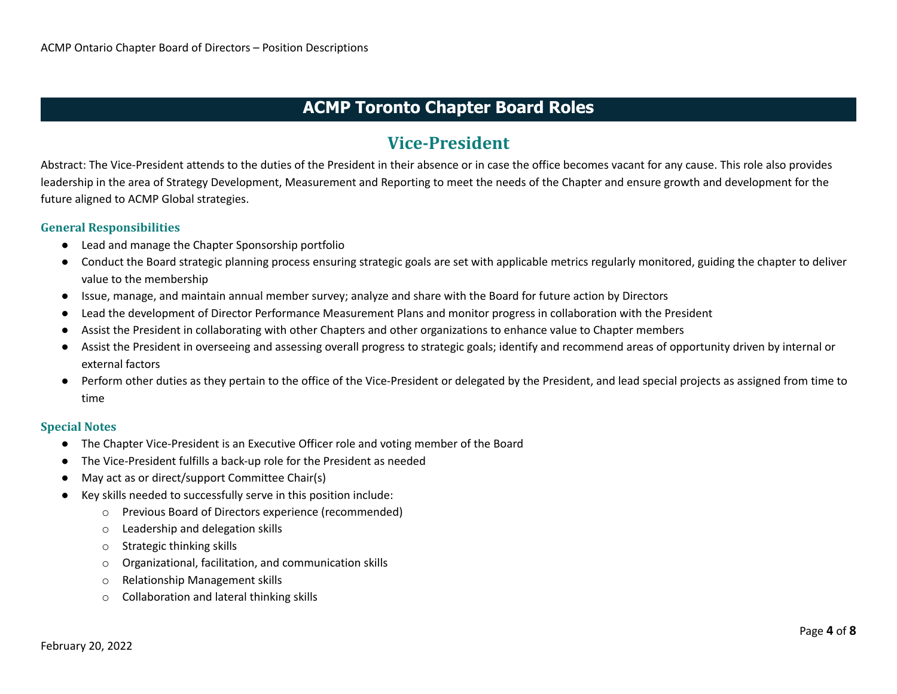### **ACMP Toronto Chapter Board Roles**

## **Vice-President**

Abstract: The Vice-President attends to the duties of the President in their absence or in case the office becomes vacant for any cause. This role also provides leadership in the area of Strategy Development, Measurement and Reporting to meet the needs of the Chapter and ensure growth and development for the future aligned to ACMP Global strategies.

#### **General Responsibilities**

- Lead and manage the Chapter Sponsorship portfolio
- Conduct the Board strategic planning process ensuring strategic goals are set with applicable metrics regularly monitored, guiding the chapter to deliver value to the membership
- Issue, manage, and maintain annual member survey; analyze and share with the Board for future action by Directors
- Lead the development of Director Performance Measurement Plans and monitor progress in collaboration with the President
- Assist the President in collaborating with other Chapters and other organizations to enhance value to Chapter members
- Assist the President in overseeing and assessing overall progress to strategic goals; identify and recommend areas of opportunity driven by internal or external factors
- Perform other duties as they pertain to the office of the Vice-President or delegated by the President, and lead special projects as assigned from time to time

- The Chapter Vice-President is an Executive Officer role and voting member of the Board
- The Vice-President fulfills a back-up role for the President as needed
- May act as or direct/support Committee Chair(s)
- Key skills needed to successfully serve in this position include:
	- o Previous Board of Directors experience (recommended)
	- o Leadership and delegation skills
	- o Strategic thinking skills
	- o Organizational, facilitation, and communication skills
	- o Relationship Management skills
	- o Collaboration and lateral thinking skills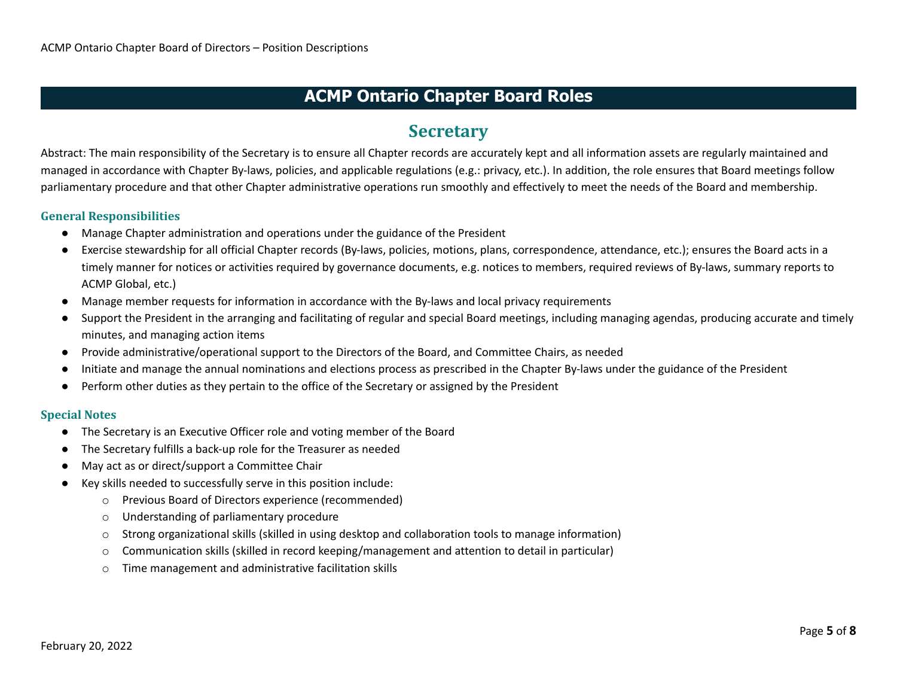## **Secretary**

Abstract: The main responsibility of the Secretary is to ensure all Chapter records are accurately kept and all information assets are regularly maintained and managed in accordance with Chapter By-laws, policies, and applicable regulations (e.g.: privacy, etc.). In addition, the role ensures that Board meetings follow parliamentary procedure and that other Chapter administrative operations run smoothly and effectively to meet the needs of the Board and membership.

#### **General Responsibilities**

- Manage Chapter administration and operations under the guidance of the President
- Exercise stewardship for all official Chapter records (By-laws, policies, motions, plans, correspondence, attendance, etc.); ensures the Board acts in a timely manner for notices or activities required by governance documents, e.g. notices to members, required reviews of By-laws, summary reports to ACMP Global, etc.)
- Manage member requests for information in accordance with the By-laws and local privacy requirements
- Support the President in the arranging and facilitating of regular and special Board meetings, including managing agendas, producing accurate and timely minutes, and managing action items
- Provide administrative/operational support to the Directors of the Board, and Committee Chairs, as needed
- Initiate and manage the annual nominations and elections process as prescribed in the Chapter By-laws under the guidance of the President
- Perform other duties as they pertain to the office of the Secretary or assigned by the President

- The Secretary is an Executive Officer role and voting member of the Board
- The Secretary fulfills a back-up role for the Treasurer as needed
- May act as or direct/support a Committee Chair
- Key skills needed to successfully serve in this position include:
	- o Previous Board of Directors experience (recommended)
	- o Understanding of parliamentary procedure
	- o Strong organizational skills (skilled in using desktop and collaboration tools to manage information)
	- $\circ$  Communication skills (skilled in record keeping/management and attention to detail in particular)
	- o Time management and administrative facilitation skills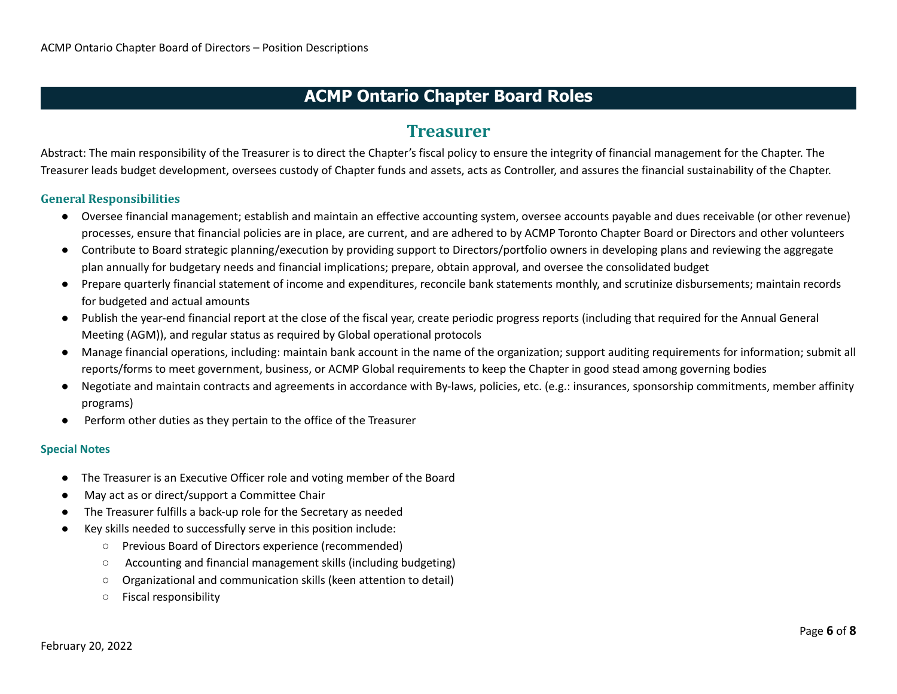### **Treasurer**

Abstract: The main responsibility of the Treasurer is to direct the Chapter's fiscal policy to ensure the integrity of financial management for the Chapter. The Treasurer leads budget development, oversees custody of Chapter funds and assets, acts as Controller, and assures the financial sustainability of the Chapter.

#### **General Responsibilities**

- Oversee financial management; establish and maintain an effective accounting system, oversee accounts payable and dues receivable (or other revenue) processes, ensure that financial policies are in place, are current, and are adhered to by ACMP Toronto Chapter Board or Directors and other volunteers
- Contribute to Board strategic planning/execution by providing support to Directors/portfolio owners in developing plans and reviewing the aggregate plan annually for budgetary needs and financial implications; prepare, obtain approval, and oversee the consolidated budget
- Prepare quarterly financial statement of income and expenditures, reconcile bank statements monthly, and scrutinize disbursements; maintain records for budgeted and actual amounts
- Publish the year-end financial report at the close of the fiscal year, create periodic progress reports (including that required for the Annual General Meeting (AGM)), and regular status as required by Global operational protocols
- Manage financial operations, including: maintain bank account in the name of the organization; support auditing requirements for information; submit all reports/forms to meet government, business, or ACMP Global requirements to keep the Chapter in good stead among governing bodies
- Negotiate and maintain contracts and agreements in accordance with By-laws, policies, etc. (e.g.: insurances, sponsorship commitments, member affinity programs)
- Perform other duties as they pertain to the office of the Treasurer

- The Treasurer is an Executive Officer role and voting member of the Board
- May act as or direct/support a Committee Chair
- The Treasurer fulfills a back-up role for the Secretary as needed
- Key skills needed to successfully serve in this position include:
	- Previous Board of Directors experience (recommended)
	- Accounting and financial management skills (including budgeting)
	- Organizational and communication skills (keen attention to detail)
	- Fiscal responsibility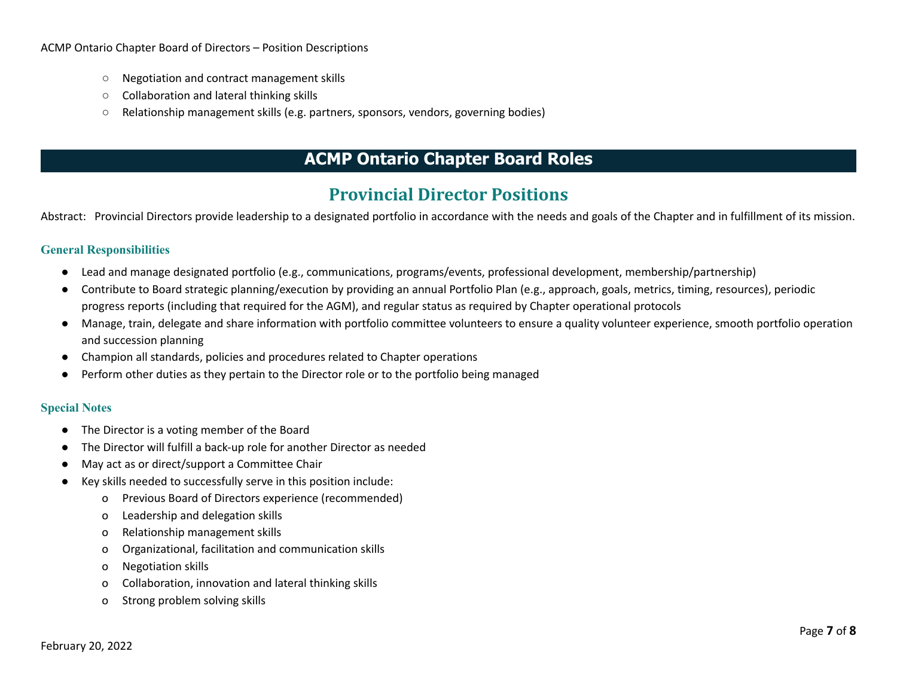- Negotiation and contract management skills
- Collaboration and lateral thinking skills
- Relationship management skills (e.g. partners, sponsors, vendors, governing bodies)

## **Provincial Director Positions**

Abstract: Provincial Directors provide leadership to a designated portfolio in accordance with the needs and goals of the Chapter and in fulfillment of its mission.

#### **General Responsibilities**

- Lead and manage designated portfolio (e.g., communications, programs/events, professional development, membership/partnership)
- Contribute to Board strategic planning/execution by providing an annual Portfolio Plan (e.g., approach, goals, metrics, timing, resources), periodic progress reports (including that required for the AGM), and regular status as required by Chapter operational protocols
- Manage, train, delegate and share information with portfolio committee volunteers to ensure a quality volunteer experience, smooth portfolio operation and succession planning
- Champion all standards, policies and procedures related to Chapter operations
- Perform other duties as they pertain to the Director role or to the portfolio being managed

- The Director is a voting member of the Board
- The Director will fulfill a back-up role for another Director as needed
- May act as or direct/support a Committee Chair
- Key skills needed to successfully serve in this position include:
	- o Previous Board of Directors experience (recommended)
	- o Leadership and delegation skills
	- o Relationship management skills
	- o Organizational, facilitation and communication skills
	- o Negotiation skills
	- o Collaboration, innovation and lateral thinking skills
	- o Strong problem solving skills